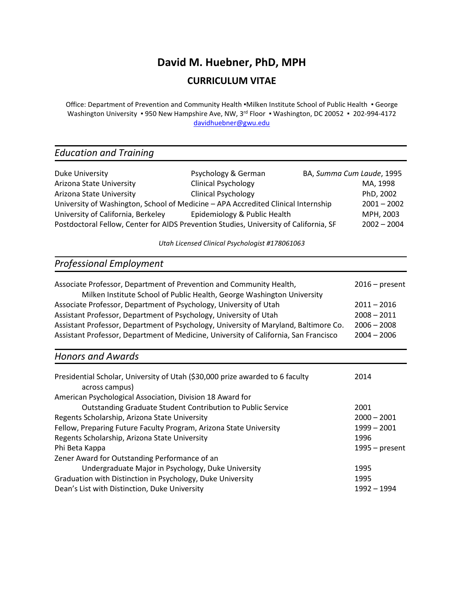# **David M. Huebner, PhD, MPH**

## **CURRICULUM VITAE**

Office: Department of Prevention and Community Health •Milken Institute School of Public Health • George Washington University • 950 New Hampshire Ave, NW, 3<sup>rd</sup> Floor • Washington, DC 20052 • 202-994-4172 [davidhuebner@gwu.edu](mailto:davidhuebner@gwu.edu)

## *Education and Training*

| Duke University                                                                       | Psychology & German          | BA, Summa Cum Laude, 1995 |               |
|---------------------------------------------------------------------------------------|------------------------------|---------------------------|---------------|
| Arizona State University                                                              | <b>Clinical Psychology</b>   |                           | MA, 1998      |
| Arizona State University                                                              | <b>Clinical Psychology</b>   |                           | PhD, 2002     |
| University of Washington, School of Medicine - APA Accredited Clinical Internship     |                              |                           | $2001 - 2002$ |
| University of California, Berkeley                                                    | Epidemiology & Public Health |                           | MPH, 2003     |
| Postdoctoral Fellow, Center for AIDS Prevention Studies, University of California, SF |                              |                           | $2002 - 2004$ |

*Utah Licensed Clinical Psychologist #178061063*

# *Professional Employment*

| $2016$ – present |
|------------------|
| $2011 - 2016$    |
| $2008 - 2011$    |
| $2006 - 2008$    |
| $2004 - 2006$    |
|                  |

## *Honors and Awards*

| Presidential Scholar, University of Utah (\$30,000 prize awarded to 6 faculty<br>across campus) | 2014             |
|-------------------------------------------------------------------------------------------------|------------------|
| American Psychological Association, Division 18 Award for                                       |                  |
| Outstanding Graduate Student Contribution to Public Service                                     | 2001             |
| Regents Scholarship, Arizona State University                                                   | $2000 - 2001$    |
| Fellow, Preparing Future Faculty Program, Arizona State University                              | $1999 - 2001$    |
| Regents Scholarship, Arizona State University                                                   | 1996             |
| Phi Beta Kappa                                                                                  | $1995 - present$ |
| Zener Award for Outstanding Performance of an                                                   |                  |
| Undergraduate Major in Psychology, Duke University                                              | 1995             |
| Graduation with Distinction in Psychology, Duke University                                      | 1995             |
| Dean's List with Distinction, Duke University                                                   | 1992 - 1994      |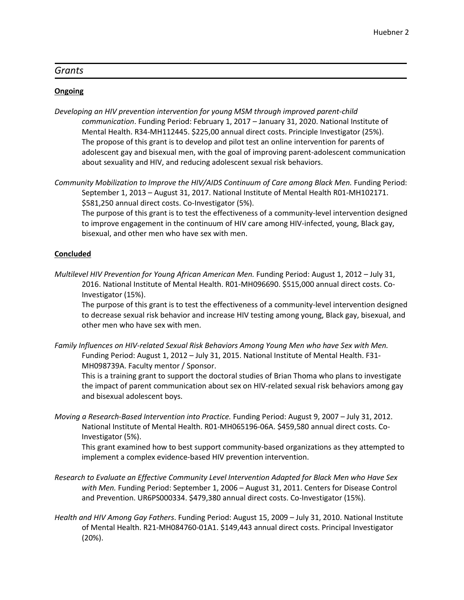#### *Grants*

#### **Ongoing**

*Developing an HIV prevention intervention for young MSM through improved parent-child communication*. Funding Period: February 1, 2017 – January 31, 2020. National Institute of Mental Health. R34-MH112445. \$225,00 annual direct costs. Principle Investigator (25%). The propose of this grant is to develop and pilot test an online intervention for parents of adolescent gay and bisexual men, with the goal of improving parent-adolescent communication about sexuality and HIV, and reducing adolescent sexual risk behaviors.

*Community Mobilization to Improve the HIV/AIDS Continuum of Care among Black Men.* Funding Period: September 1, 2013 – August 31, 2017. National Institute of Mental Health R01-MH102171. \$581,250 annual direct costs. Co-Investigator (5%).

The purpose of this grant is to test the effectiveness of a community-level intervention designed to improve engagement in the continuum of HIV care among HIV-infected, young, Black gay, bisexual, and other men who have sex with men.

#### **Concluded**

*Multilevel HIV Prevention for Young African American Men.* Funding Period: August 1, 2012 – July 31, 2016. National Institute of Mental Health. R01-MH096690. \$515,000 annual direct costs. Co-Investigator (15%).

The purpose of this grant is to test the effectiveness of a community-level intervention designed to decrease sexual risk behavior and increase HIV testing among young, Black gay, bisexual, and other men who have sex with men.

*Family Influences on HIV-related Sexual Risk Behaviors Among Young Men who have Sex with Men.* Funding Period: August 1, 2012 – July 31, 2015. National Institute of Mental Health. F31- MH098739A. Faculty mentor / Sponsor.

This is a training grant to support the doctoral studies of Brian Thoma who plans to investigate the impact of parent communication about sex on HIV-related sexual risk behaviors among gay and bisexual adolescent boys.

*Moving a Research-Based Intervention into Practice.* Funding Period: August 9, 2007 – July 31, 2012. National Institute of Mental Health. R01-MH065196-06A. \$459,580 annual direct costs. Co-Investigator (5%).

This grant examined how to best support community-based organizations as they attempted to implement a complex evidence-based HIV prevention intervention.

- *Research to Evaluate an Effective Community Level Intervention Adapted for Black Men who Have Sex with Men.* Funding Period: September 1, 2006 – August 31, 2011. Centers for Disease Control and Prevention. UR6PS000334. \$479,380 annual direct costs. Co-Investigator (15%).
- *Health and HIV Among Gay Fathers*. Funding Period: August 15, 2009 July 31, 2010. National Institute of Mental Health. R21-MH084760-01A1. \$149,443 annual direct costs. Principal Investigator (20%).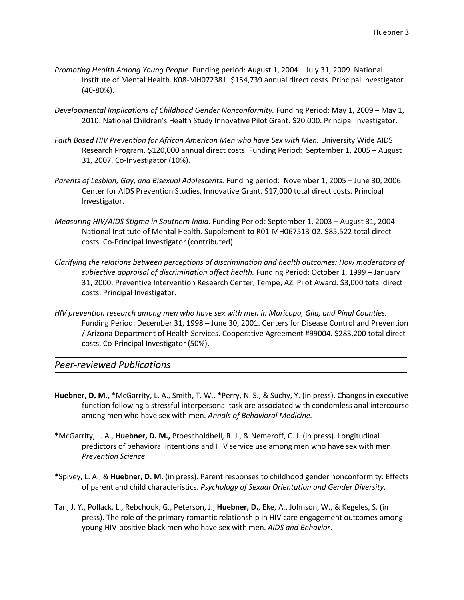- *Promoting Health Among Young People.* Funding period: August 1, 2004 July 31, 2009. National Institute of Mental Health. K08-MH072381. \$154,739 annual direct costs. Principal Investigator (40-80%).
- *Developmental Implications of Childhood Gender Nonconformity.* Funding Period: May 1, 2009 May 1, 2010. National Children's Health Study Innovative Pilot Grant. \$20,000. Principal Investigator.
- Faith Based HIV Prevention for African American Men who have Sex with Men. University Wide AIDS Research Program. \$120,000 annual direct costs. Funding Period: September 1, 2005 – August 31, 2007. Co-Investigator (10%).
- *Parents of Lesbian, Gay, and Bisexual Adolescents.* Funding period: November 1, 2005 June 30, 2006. Center for AIDS Prevention Studies, Innovative Grant. \$17,000 total direct costs. Principal Investigator.
- *Measuring HIV/AIDS Stigma in Southern India.* Funding Period: September 1, 2003 August 31, 2004. National Institute of Mental Health. Supplement to R01-MH067513-02. \$85,522 total direct costs. Co-Principal Investigator (contributed).
- *Clarifying the relations between perceptions of discrimination and health outcomes: How moderators of subjective appraisal of discrimination affect health.* Funding Period: October 1, 1999 – January 31, 2000. Preventive Intervention Research Center, Tempe, AZ. Pilot Award. \$3,000 total direct costs. Principal Investigator.
- *HIV prevention research among men who have sex with men in Maricopa, Gila, and Pinal Counties.* Funding Period: December 31, 1998 – June 30, 2001. Centers for Disease Control and Prevention / Arizona Department of Health Services. Cooperative Agreement #99004. \$283,200 total direct costs. Co-Principal Investigator (50%).

*Peer-reviewed Publications*

- **Huebner, D. M.,** \*McGarrity, L. A., Smith, T. W., \*Perry, N. S., & Suchy, Y. (in press). Changes in executive function following a stressful interpersonal task are associated with condomless anal intercourse among men who have sex with men. *Annals of Behavioral Medicine.*
- \*McGarrity, L. A., **Huebner, D. M.,** Proescholdbell, R. J., & Nemeroff, C. J. (in press). Longitudinal predictors of behavioral intentions and HIV service use among men who have sex with men. *Prevention Science*.
- \*Spivey, L. A., & **Huebner, D. M.** (in press). Parent responses to childhood gender nonconformity: Effects of parent and child characteristics. *Psychology of Sexual Orientation and Gender Diversity.*
- Tan, J. Y., Pollack, L., Rebchook, G., Peterson, J., **Huebner, D.**, Eke, A., Johnson, W., & Kegeles, S. (in press). The role of the primary romantic relationship in HIV care engagement outcomes among young HIV-positive black men who have sex with men. *AIDS and Behavior*.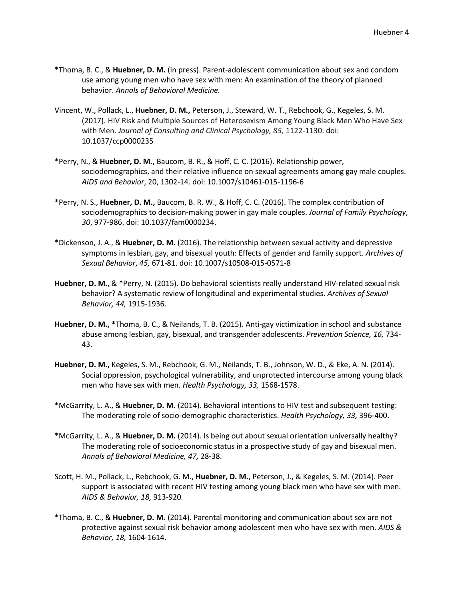- \*Thoma, B. C., & **Huebner, D. M.** (in press). Parent-adolescent communication about sex and condom use among young men who have sex with men: An examination of the theory of planned behavior. *Annals of Behavioral Medicine.*
- Vincent, W., Pollack, L., **Huebner, D. M.,** Peterson, J., Steward, W. T., Rebchook, G., Kegeles, S. M. (2017). HIV Risk and Multiple Sources of Heterosexism Among Young Black Men Who Have Sex with Men. *Journal of Consulting and Clinical Psychology, 85,* 1122-1130. doi: 10.1037/ccp0000235
- \*Perry, N., & **Huebner, D. M.**, Baucom, B. R., & Hoff, C. C. (2016). Relationship power, sociodemographics, and their relative influence on sexual agreements among gay male couples. *AIDS and Behavior*, 20, 1302-14. doi: 10.1007/s10461-015-1196-6
- \*Perry, N. S., **Huebner, D. M.,** Baucom, B. R. W., & Hoff, C. C. (2016). The complex contribution of sociodemographics to decision-making power in gay male couples. *Journal of Family Psychology*, *30*, 977-986. doi: [10.1037/fam0000234.](http://dx.doi.org/10.1037/fam0000234)
- \*Dickenson, J. A., & **Huebner, D. M.** (2016). The relationship between sexual activity and depressive symptoms in lesbian, gay, and bisexual youth: Effects of gender and family support. *Archives of Sexual Behavior*, *45,* 671-81. doi: 10.1007/s10508-015-0571-8
- **Huebner, D. M.**, & \*Perry, N. (2015). Do behavioral scientists really understand HIV-related sexual risk behavior? A systematic review of longitudinal and experimental studies. *Archives of Sexual Behavior, 44,* 1915-1936.
- **Huebner, D. M., \***Thoma, B. C., & Neilands, T. B. (2015). Anti-gay victimization in school and substance abuse among lesbian, gay, bisexual, and transgender adolescents. *Prevention Science, 16,* 734- 43.
- **Huebner, D. M.,** Kegeles, S. M., Rebchook, G. M., Neilands, T. B., Johnson, W. D., & Eke, A. N. (2014). Social oppression, psychological vulnerability, and unprotected intercourse among young black men who have sex with men. *Health Psychology, 33,* 1568-1578.
- \*McGarrity, L. A., & **Huebner, D. M.** (2014). Behavioral intentions to HIV test and subsequent testing: The moderating role of socio-demographic characteristics. *Health Psychology, 33,* 396-400.
- \*McGarrity, L. A., & **Huebner, D. M.** (2014). Is being out about sexual orientation universally healthy? The moderating role of socioeconomic status in a prospective study of gay and bisexual men. *Annals of Behavioral Medicine, 47,* 28-38.
- Scott, H. M., Pollack, L., Rebchook, G. M., **Huebner, D. M.**, Peterson, J., & Kegeles, S. M. (2014). Peer support is associated with recent HIV testing among young black men who have sex with men. *AIDS & Behavior, 18,* 913-920*.*
- \*Thoma, B. C., & **Huebner, D. M.** (2014). Parental monitoring and communication about sex are not protective against sexual risk behavior among adolescent men who have sex with men. *AIDS & Behavior, 18,* 1604-1614.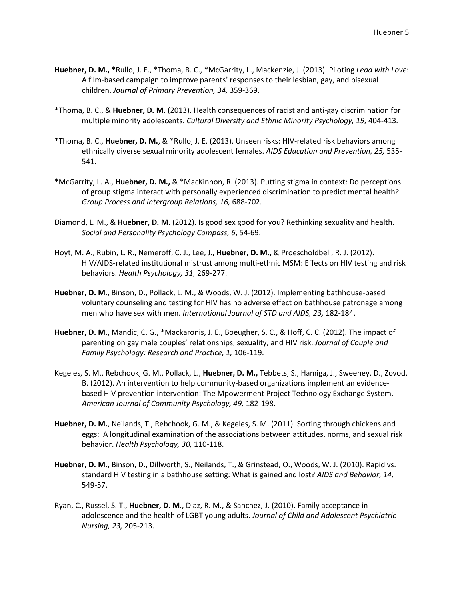- **Huebner, D. M., \***Rullo, J. E., \*Thoma, B. C., \*McGarrity, L., Mackenzie, J. (2013). Piloting *Lead with Love*: A film-based campaign to improve parents' responses to their lesbian, gay, and bisexual children. *Journal of Primary Prevention, 34,* 359-369.
- \*Thoma, B. C., & **Huebner, D. M.** (2013). Health consequences of racist and anti-gay discrimination for multiple minority adolescents. *Cultural Diversity and Ethnic Minority Psychology, 19,* 404-413*.*
- \*Thoma, B. C., **Huebner, D. M.**, & \*Rullo, J. E. (2013). Unseen risks: HIV-related risk behaviors among ethnically diverse sexual minority adolescent females. *AIDS Education and Prevention, 25,* 535- 541.
- \*McGarrity, L. A., **Huebner, D. M.,** & \*MacKinnon, R. (2013). Putting stigma in context: Do perceptions of group stigma interact with personally experienced discrimination to predict mental health? *Group Process and Intergroup Relations, 16,* 688-702*.*
- Diamond, L. M., & **Huebner, D. M.** (2012). Is good sex good for you? Rethinking sexuality and health. *Social and Personality Psychology Compass, 6*, 54-69.
- Hoyt, M. A., Rubin, L. R., Nemeroff, C. J., Lee, J., **Huebner, D. M.,** & Proescholdbell, R. J. (2012). HIV/AIDS-related institutional mistrust among multi-ethnic MSM: Effects on HIV testing and risk behaviors. *Health Psychology, 31,* 269-277.
- **Huebner, D. M**., Binson, D., Pollack, L. M., & Woods, W. J. (2012). Implementing bathhouse-based voluntary counseling and testing for HIV has no adverse effect on bathhouse patronage among men who have sex with men. *International Journal of STD and AIDS, 23,* 182-184.
- **Huebner, D. M.,** Mandic, C. G., \*Mackaronis, J. E., Boeugher, S. C., & Hoff, C. C. (2012). The impact of parenting on gay male couples' relationships, sexuality, and HIV risk. *Journal of Couple and Family Psychology: Research and Practice, 1,* 106-119.
- Kegeles, S. M., Rebchook, G. M., Pollack, L., **Huebner, D. M.,** Tebbets, S., Hamiga, J., Sweeney, D., Zovod, B. (2012). An intervention to help community-based organizations implement an evidencebased HIV prevention intervention: The Mpowerment Project Technology Exchange System. *American Journal of Community Psychology, 49,* 182-198.
- **Huebner, D. M.**, Neilands, T., Rebchook, G. M., & Kegeles, S. M. (2011). Sorting through chickens and eggs: A longitudinal examination of the associations between attitudes, norms, and sexual risk behavior. *Health Psychology, 30,* 110-118.
- **Huebner, D. M.**, Binson, D., Dillworth, S., Neilands, T., & Grinstead, O., Woods, W. J. (2010). Rapid vs. standard HIV testing in a bathhouse setting: What is gained and lost? *AIDS and Behavior, 14,* 549-57.
- Ryan, C., Russel, S. T., **Huebner, D. M**., Diaz, R. M., & Sanchez, J. (2010). Family acceptance in adolescence and the health of LGBT young adults. *Journal of Child and Adolescent Psychiatric Nursing, 23,* 205-213.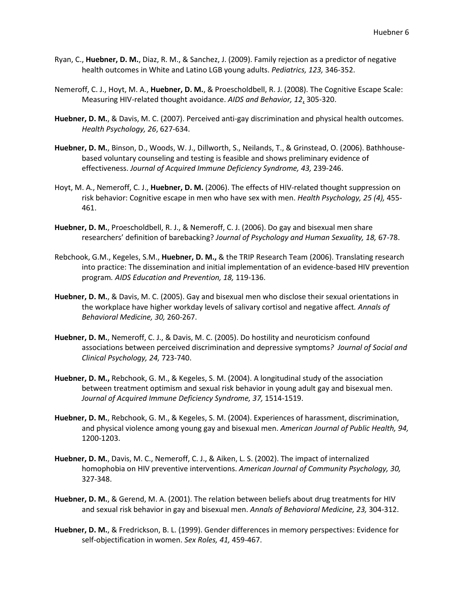- Ryan, C., **Huebner, D. M.**, Diaz, R. M., & Sanchez, J. (2009). Family rejection as a predictor of negative health outcomes in White and Latino LGB young adults. *Pediatrics, 123,* 346-352.
- Nemeroff, C. J., Hoyt, M. A., **Huebner, D. M.**, & Proescholdbell, R. J. (2008). The Cognitive Escape Scale: Measuring HIV-related thought avoidance. *AIDS and Behavior, 12*, 305-320.
- **Huebner, D. M.**, & Davis, M. C. (2007). Perceived anti-gay discrimination and physical health outcomes. *Health Psychology, 26*, 627-634.
- **Huebner, D. M.**, Binson, D., Woods, W. J., Dillworth, S., Neilands, T., & Grinstead, O. (2006). Bathhousebased voluntary counseling and testing is feasible and shows preliminary evidence of effectiveness. *Journal of Acquired Immune Deficiency Syndrome, 43,* 239-246.
- Hoyt, M. A., Nemeroff, C. J., **Huebner, D. M.** (2006). The effects of HIV-related thought suppression on risk behavior: Cognitive escape in men who have sex with men. *Health Psychology, 25 (4),* 455- 461.
- **Huebner, D. M.**, Proescholdbell, R. J., & Nemeroff, C. J. (2006). Do gay and bisexual men share researchers' definition of barebacking? *Journal of Psychology and Human Sexuality, 18,* 67-78.
- Rebchook, G.M., Kegeles, S.M., **Huebner, D. M.,** & the TRIP Research Team (2006). Translating research into practice: The dissemination and initial implementation of an evidence-based HIV prevention program*. AIDS Education and Prevention, 18,* 119-136.
- **Huebner, D. M.**, & Davis, M. C. (2005). Gay and bisexual men who disclose their sexual orientations in the workplace have higher workday levels of salivary cortisol and negative affect*. Annals of Behavioral Medicine, 30,* 260-267.
- **Huebner, D. M.**, Nemeroff, C. J., & Davis, M. C. (2005). Do hostility and neuroticism confound associations between perceived discrimination and depressive symptoms*? Journal of Social and Clinical Psychology, 24,* 723-740.
- **Huebner, D. M.,** Rebchook, G. M., & Kegeles, S. M. (2004). A longitudinal study of the association between treatment optimism and sexual risk behavior in young adult gay and bisexual men. *Journal of Acquired Immune Deficiency Syndrome, 37,* 1514-1519.
- **Huebner, D. M.**, Rebchook, G. M., & Kegeles, S. M. (2004). Experiences of harassment, discrimination, and physical violence among young gay and bisexual men. *American Journal of Public Health, 94,* 1200-1203.
- **Huebner, D. M.**, Davis, M. C., Nemeroff, C. J., & Aiken, L. S. (2002). The impact of internalized homophobia on HIV preventive interventions. *American Journal of Community Psychology, 30,* 327-348.
- **Huebner, D. M.**, & Gerend, M. A. (2001). The relation between beliefs about drug treatments for HIV and sexual risk behavior in gay and bisexual men. *Annals of Behavioral Medicine, 23,* 304-312.
- **Huebner, D. M.**, & Fredrickson, B. L. (1999). Gender differences in memory perspectives: Evidence for self-objectification in women. *Sex Roles, 41,* 459-467.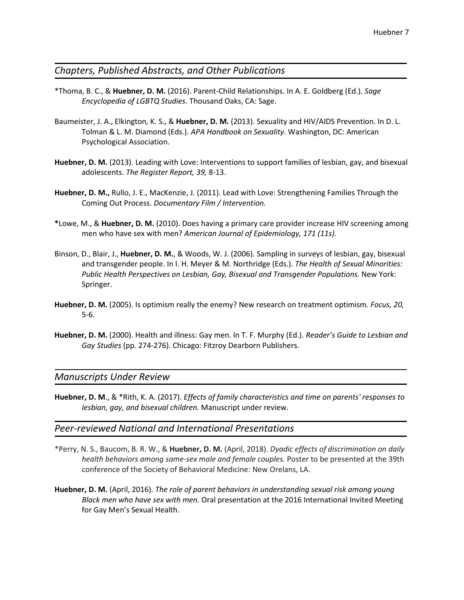### *Chapters, Published Abstracts, and Other Publications*

- \*Thoma, B. C., & **Huebner, D. M.** (2016). Parent-Child Relationships. In A. E. Goldberg (Ed.). *Sage Encyclopedia of LGBTQ Studies*. Thousand Oaks, CA: Sage.
- Baumeister, J. A., Elkington, K. S., & **Huebner, D. M.** (2013). Sexuality and HIV/AIDS Prevention. In D. L. Tolman & L. M. Diamond (Eds.). *APA Handbook on Sexuality.* Washington, DC: American Psychological Association.
- **Huebner, D. M.** (2013). Leading with Love: Interventions to support families of lesbian, gay, and bisexual adolescents. *The Register Report, 39,* 8-13.
- **Huebner, D. M.,** Rullo, J. E., MacKenzie, J. (2011). Lead with Love: Strengthening Families Through the Coming Out Process. *Documentary Film / Intervention.*
- **\***Lowe, M., & **Huebner, D. M.** (2010). Does having a primary care provider increase HIV screening among men who have sex with men? *American Journal of Epidemiology, 171 (11s).*
- Binson, D., Blair, J., **Huebner, D. M.**, & Woods, W. J. (2006). Sampling in surveys of lesbian, gay, bisexual and transgender people. In I. H. Meyer & M. Northridge (Eds.). *The Health of Sexual Minorities: Public Health Perspectives on Lesbian, Gay, Bisexual and Transgender Populations.* New York: Springer.
- **Huebner, D. M.** (2005). Is optimism really the enemy? New research on treatment optimism. *Focus, 20,* 5-6.
- **Huebner, D. M.** (2000). Health and illness: Gay men. In T. F. Murphy (Ed.). *Reader's Guide to Lesbian and Gay Studies* (pp. 274-276). Chicago: Fitzroy Dearborn Publishers.

#### *Manuscripts Under Review*

**Huebner, D. M**., & \*Rith, K. A. (2017). *Effects of family characteristics and time on parents' responses to lesbian, gay, and bisexual children.* Manuscript under review.

#### *Peer-reviewed National and International Presentations*

- \*Perry, N. S., Baucom, B. R. W., & **Huebner, D. M.** (April, 2018). *Dyadic effects of discrimination on daily health behaviors among same-sex male and female couples.* Poster to be presented at the 39th conference of the Society of Behavioral Medicine: New Orelans, LA.
- **Huebner, D. M.** (April, 2016). *The role of parent behaviors in understanding sexual risk among young Black men who have sex with men.* Oral presentation at the 2016 International Invited Meeting for Gay Men's Sexual Health.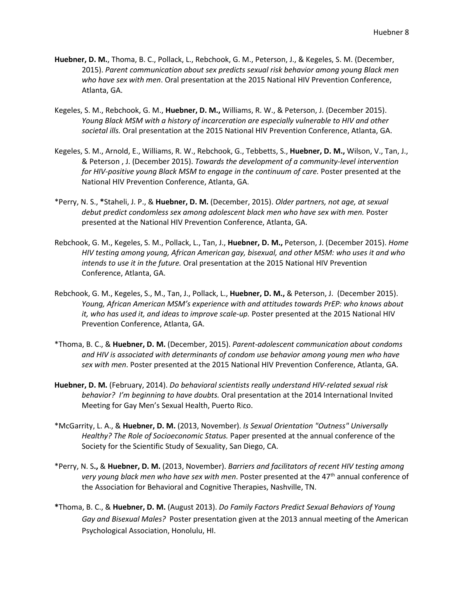- **Huebner, D. M.**, Thoma, B. C., Pollack, L., Rebchook, G. M., Peterson, J., & Kegeles, S. M. (December, 2015). *Parent communication about sex predicts sexual risk behavior among young Black men who have sex with men*. Oral presentation at the 2015 National HIV Prevention Conference, Atlanta, GA.
- Kegeles, S. M., Rebchook, G. M., **Huebner, D. M.,** Williams, R. W., & Peterson, J. (December 2015). *Young Black MSM with a history of incarceration are especially vulnerable to HIV and other societal ills.* Oral presentation at the 2015 National HIV Prevention Conference, Atlanta, GA.
- Kegeles, S. M., Arnold, E., Williams, R. W., Rebchook, G., Tebbetts, S., **Huebner, D. M.,** Wilson, V., Tan, J., & Peterson , J. (December 2015). *Towards the development of a community-level intervention for HIV-positive young Black MSM to engage in the continuum of care.* Poster presented at the National HIV Prevention Conference, Atlanta, GA.
- \*Perry, N. S., **\***Staheli, J. P., & **Huebner, D. M.** (December, 2015). *Older partners, not age, at sexual debut predict condomless sex among adolescent black men who have sex with men.* Poster presented at the National HIV Prevention Conference, Atlanta, GA.
- Rebchook, G. M., Kegeles, S. M., Pollack, L., Tan, J., **Huebner, D. M.,** Peterson, J. (December 2015). *Home HIV testing among young, African American gay, bisexual, and other MSM: who uses it and who intends to use it in the future.* Oral presentation at the 2015 National HIV Prevention Conference, Atlanta, GA.
- Rebchook, G. M., Kegeles, S., M., Tan, J., Pollack, L., **Huebner, D. M.,** & Peterson, J. (December 2015). *Young, African American MSM's experience with and attitudes towards PrEP: who knows about it, who has used it, and ideas to improve scale-up.* Poster presented at the 2015 National HIV Prevention Conference, Atlanta, GA.
- \*Thoma, B. C., & **Huebner, D. M.** (December, 2015). *Parent-adolescent communication about condoms and HIV is associated with determinants of condom use behavior among young men who have sex with men*. Poster presented at the 2015 National HIV Prevention Conference, Atlanta, GA.
- **Huebner, D. M.** (February, 2014). *Do behavioral scientists really understand HIV-related sexual risk behavior? I'm beginning to have doubts.* Oral presentation at the 2014 International Invited Meeting for Gay Men's Sexual Health, Puerto Rico.
- \*McGarrity, L. A., & **Huebner, D. M.** (2013, November). *Is Sexual Orientation "Outness" Universally Healthy? The Role of Socioeconomic Status.* Paper presented at the annual conference of the Society for the Scientific Study of Sexuality, San Diego, CA.
- \*Perry, N. S**.,** & **Huebner, D. M.** (2013, November). *Barriers and facilitators of recent HIV testing among*  very young black men who have sex with men. Poster presented at the 47<sup>th</sup> annual conference of the Association for Behavioral and Cognitive Therapies, Nashville, TN.
- **\***Thoma, B. C., & **Huebner, D. M.** (August 2013). *Do Family Factors Predict Sexual Behaviors of Young Gay and Bisexual Males?* Poster presentation given at the 2013 annual meeting of the American Psychological Association, Honolulu, HI.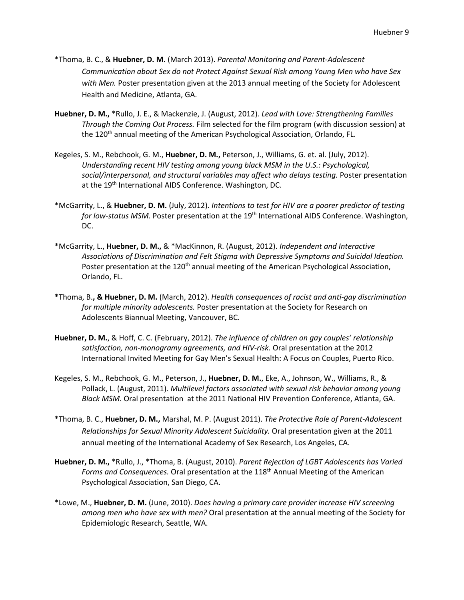- \*Thoma, B. C., & **Huebner, D. M.** (March 2013). *Parental Monitoring and Parent-Adolescent Communication about Sex do not Protect Against Sexual Risk among Young Men who have Sex with Men.* Poster presentation given at the 2013 annual meeting of the Society for Adolescent Health and Medicine, Atlanta, GA.
- **Huebner, D. M.,** \*Rullo, J. E., & Mackenzie, J. (August, 2012). *Lead with Love: Strengthening Families Through the Coming Out Process.* Film selected for the film program (with discussion session) at the 120<sup>th</sup> annual meeting of the American Psychological Association, Orlando, FL.
- Kegeles, S. M., Rebchook, G. M., **Huebner, D. M.,** Peterson, J., Williams, G. et. al. (July, 2012). *Understanding recent HIV testing among young black MSM in the U.S.: Psychological, social/interpersonal, and structural variables may affect who delays testing.* Poster presentation at the 19<sup>th</sup> International AIDS Conference. Washington, DC.
- \*McGarrity, L., & **Huebner, D. M.** (July, 2012). *Intentions to test for HIV are a poorer predictor of testing*  for low-status MSM. Poster presentation at the 19<sup>th</sup> International AIDS Conference. Washington, DC.
- \*McGarrity, L., **Huebner, D. M.,** & \*MacKinnon, R. (August, 2012). *Independent and Interactive Associations of Discrimination and Felt Stigma with Depressive Symptoms and Suicidal Ideation.* Poster presentation at the 120<sup>th</sup> annual meeting of the American Psychological Association, Orlando, FL.
- **\***Thoma, B.**, & Huebner, D. M.** (March, 2012). *Health consequences of racist and anti-gay discrimination for multiple minority adolescents.* Poster presentation at the Society for Research on Adolescents Biannual Meeting, Vancouver, BC.
- **Huebner, D. M.**, & Hoff, C. C. (February, 2012). *The influence of children on gay couples' relationship satisfaction, non-monogramy agreements, and HIV-risk.* Oral presentation at the 2012 International Invited Meeting for Gay Men's Sexual Health: A Focus on Couples, Puerto Rico.
- Kegeles, S. M., Rebchook, G. M., Peterson, J., **Huebner, D. M.**, Eke, A., Johnson, W., Williams, R., & Pollack, L. (August, 2011). *Multilevel factors associated with sexual risk behavior among young Black MSM.* Oral presentation at the 2011 National HIV Prevention Conference, Atlanta, GA.
- \*Thoma, B. C., **Huebner, D. M.,** Marshal, M. P. (August 2011). *The Protective Role of Parent-Adolescent Relationships for Sexual Minority Adolescent Suicidality.* Oral presentation given at the 2011 annual meeting of the International Academy of Sex Research, Los Angeles, CA.
- **Huebner, D. M.,** \*Rullo, J., \*Thoma, B. (August, 2010). *Parent Rejection of LGBT Adolescents has Varied*  Forms and Consequences. Oral presentation at the 118<sup>th</sup> Annual Meeting of the American Psychological Association, San Diego, CA.
- \*Lowe, M., **Huebner, D. M.** (June, 2010). *Does having a primary care provider increase HIV screening among men who have sex with men?* Oral presentation at the annual meeting of the Society for Epidemiologic Research, Seattle, WA.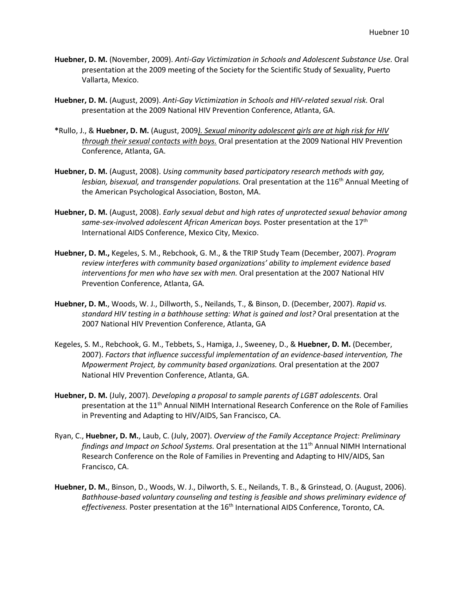- **Huebner, D. M.** (November, 2009). *Anti-Gay Victimization in Schools and Adolescent Substance Use.* Oral presentation at the 2009 meeting of the Society for the Scientific Study of Sexuality, Puerto Vallarta, Mexico.
- **Huebner, D. M.** (August, 2009). *Anti-Gay Victimization in Schools and HIV-related sexual risk.* Oral presentation at the 2009 National HIV Prevention Conference, Atlanta, GA.
- **\***Rullo, J., & **Huebner, D. M.** (August, 2009*). Sexual minority adolescent girls are at high risk for HIV through their sexual contacts with boys.* Oral presentation at the 2009 National HIV Prevention Conference, Atlanta, GA.
- **Huebner, D. M.** (August, 2008). *Using community based participatory research methods with gay,*  lesbian, bisexual, and transgender populations. Oral presentation at the 116<sup>th</sup> Annual Meeting of the American Psychological Association, Boston, MA.
- **Huebner, D. M.** (August, 2008). *Early sexual debut and high rates of unprotected sexual behavior among*  same-sex-involved adolescent African American boys. Poster presentation at the 17<sup>th</sup> International AIDS Conference, Mexico City, Mexico.
- **Huebner, D. M.,** Kegeles, S. M., Rebchook, G. M., & the TRIP Study Team (December, 2007). *Program review interferes with community based organizations' ability to implement evidence based interventions for men who have sex with men.* Oral presentation at the 2007 National HIV Prevention Conference, Atlanta, GA*.*
- **Huebner, D. M.**, Woods, W. J., Dillworth, S., Neilands, T., & Binson, D. (December, 2007). *Rapid vs. standard HIV testing in a bathhouse setting: What is gained and lost?* Oral presentation at the 2007 National HIV Prevention Conference, Atlanta, GA
- Kegeles, S. M., Rebchook, G. M., Tebbets, S., Hamiga, J., Sweeney, D., & **Huebner, D. M.** (December, 2007). *Factors that influence successful implementation of an evidence-based intervention, The Mpowerment Project, by community based organizations.* Oral presentation at the 2007 National HIV Prevention Conference, Atlanta, GA.
- **Huebner, D. M.** (July, 2007). *Developing a proposal to sample parents of LGBT adolescents.* Oral presentation at the 11<sup>th</sup> Annual NIMH International Research Conference on the Role of Families in Preventing and Adapting to HIV/AIDS, San Francisco, CA.
- Ryan, C., **Huebner, D. M.**, Laub, C. (July, 2007). *Overview of the Family Acceptance Project: Preliminary findings and Impact on School Systems.* Oral presentation at the 11<sup>th</sup> Annual NIMH International Research Conference on the Role of Families in Preventing and Adapting to HIV/AIDS, San Francisco, CA.
- **Huebner, D. M.**, Binson, D., Woods, W. J., Dilworth, S. E., Neilands, T. B., & Grinstead, O. (August, 2006). *Bathhouse-based voluntary counseling and testing is feasible and shows preliminary evidence of*  effectiveness. Poster presentation at the 16<sup>th</sup> International AIDS Conference, Toronto, CA.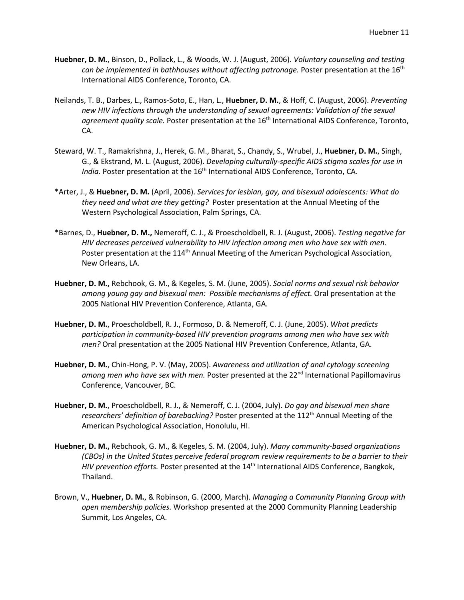- **Huebner, D. M.**, Binson, D., Pollack, L., & Woods, W. J. (August, 2006). *Voluntary counseling and testing can be implemented in bathhouses without affecting patronage.* Poster presentation at the 16th International AIDS Conference, Toronto, CA.
- Neilands, T. B., Darbes, L., Ramos-Soto, E., Han, L., **Huebner, D. M.**, & Hoff, C. (August, 2006). *Preventing new HIV infections through the understanding of sexual agreements: Validation of the sexual*  agreement quality scale. Poster presentation at the 16<sup>th</sup> International AIDS Conference, Toronto, CA.
- Steward, W. T., Ramakrishna, J., Herek, G. M., Bharat, S., Chandy, S., Wrubel, J., **Huebner, D. M.**, Singh, G., & Ekstrand, M. L. (August, 2006). *Developing culturally-specific AIDS stigma scales for use in India.* Poster presentation at the 16<sup>th</sup> International AIDS Conference, Toronto, CA.
- \*Arter, J., & **Huebner, D. M.** (April, 2006). *Services for lesbian, gay, and bisexual adolescents: What do they need and what are they getting?* Poster presentation at the Annual Meeting of the Western Psychological Association, Palm Springs, CA.
- \*Barnes, D., **Huebner, D. M.,** Nemeroff, C. J., & Proescholdbell, R. J. (August, 2006). *Testing negative for HIV decreases perceived vulnerability to HIV infection among men who have sex with men.* Poster presentation at the 114<sup>th</sup> Annual Meeting of the American Psychological Association, New Orleans, LA.
- **Huebner, D. M.,** Rebchook, G. M., & Kegeles, S. M. (June, 2005). *Social norms and sexual risk behavior among young gay and bisexual men: Possible mechanisms of effect.* Oral presentation at the 2005 National HIV Prevention Conference, Atlanta, GA.
- **Huebner, D. M.**, Proescholdbell, R. J., Formoso, D. & Nemeroff, C. J. (June, 2005). *What predicts participation in community-based HIV prevention programs among men who have sex with men?* Oral presentation at the 2005 National HIV Prevention Conference, Atlanta, GA.
- **Huebner, D. M.**, Chin-Hong, P. V. (May, 2005). *Awareness and utilization of anal cytology screening*  among men who have sex with men. Poster presented at the 22<sup>nd</sup> International Papillomavirus Conference, Vancouver, BC.
- **Huebner, D. M.**, Proescholdbell, R. J., & Nemeroff, C. J. (2004, July). *Do gay and bisexual men share researchers' definition of barebacking?* Poster presented at the 112<sup>th</sup> Annual Meeting of the American Psychological Association, Honolulu, HI.
- **Huebner, D. M.,** Rebchook, G. M., & Kegeles, S. M. (2004, July). *Many community-based organizations (CBOs) in the United States perceive federal program review requirements to be a barrier to their HIV prevention efforts.* Poster presented at the 14<sup>th</sup> International AIDS Conference, Bangkok, Thailand.
- Brown, V., **Huebner, D. M.**, & Robinson, G. (2000, March). *Managing a Community Planning Group with open membership policies.* Workshop presented at the 2000 Community Planning Leadership Summit, Los Angeles, CA.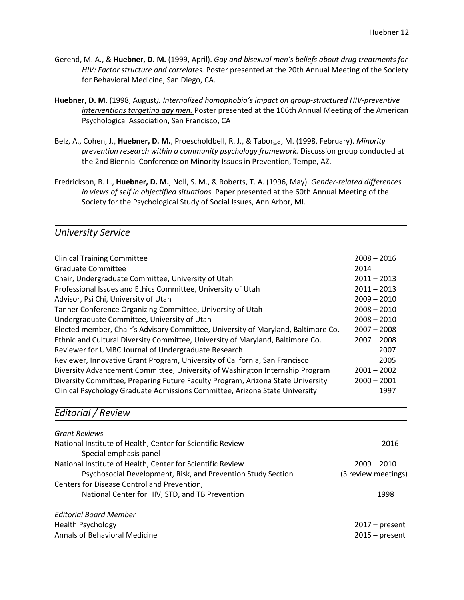- Gerend, M. A., & **Huebner, D. M.** (1999, April). *Gay and bisexual men's beliefs about drug treatments for HIV: Factor structure and correlates.* Poster presented at the 20th Annual Meeting of the Society for Behavioral Medicine, San Diego, CA.
- **Huebner, D. M.** (1998, August*). Internalized homophobia's impact on group-structured HIV-preventive interventions targeting gay men.* Poster presented at the 106th Annual Meeting of the American Psychological Association, San Francisco, CA
- Belz, A., Cohen, J., **Huebner, D. M.**, Proescholdbell, R. J., & Taborga, M. (1998, February). *Minority prevention research within a community psychology framework.* Discussion group conducted at the 2nd Biennial Conference on Minority Issues in Prevention, Tempe, AZ.
- Fredrickson, B. L., **Huebner, D. M.**, Noll, S. M., & Roberts, T. A. (1996, May). *Gender-related differences in views of self in objectified situations.* Paper presented at the 60th Annual Meeting of the Society for the Psychological Study of Social Issues, Ann Arbor, MI.

## *University Service*

| <b>Clinical Training Committee</b>                                                | $2008 - 2016$ |
|-----------------------------------------------------------------------------------|---------------|
| <b>Graduate Committee</b>                                                         | 2014          |
| Chair, Undergraduate Committee, University of Utah                                | $2011 - 2013$ |
| Professional Issues and Ethics Committee, University of Utah                      | $2011 - 2013$ |
| Advisor, Psi Chi, University of Utah                                              | $2009 - 2010$ |
| Tanner Conference Organizing Committee, University of Utah                        | $2008 - 2010$ |
| Undergraduate Committee, University of Utah                                       | $2008 - 2010$ |
| Elected member, Chair's Advisory Committee, University of Maryland, Baltimore Co. | $2007 - 2008$ |
| Ethnic and Cultural Diversity Committee, University of Maryland, Baltimore Co.    | $2007 - 2008$ |
| Reviewer for UMBC Journal of Undergraduate Research                               | 2007          |
| Reviewer, Innovative Grant Program, University of California, San Francisco       | 2005          |
| Diversity Advancement Committee, University of Washington Internship Program      | $2001 - 2002$ |
| Diversity Committee, Preparing Future Faculty Program, Arizona State University   | $2000 - 2001$ |
| Clinical Psychology Graduate Admissions Committee, Arizona State University       | 1997          |

## *Editorial / Review*

| <b>Grant Reviews</b>                                         |                     |
|--------------------------------------------------------------|---------------------|
| National Institute of Health, Center for Scientific Review   | 2016                |
| Special emphasis panel                                       |                     |
| National Institute of Health, Center for Scientific Review   | $2009 - 2010$       |
| Psychosocial Development, Risk, and Prevention Study Section | (3 review meetings) |
| Centers for Disease Control and Prevention,                  |                     |
| National Center for HIV, STD, and TB Prevention              | 1998                |
| <b>Editorial Board Member</b>                                |                     |
| <b>Health Psychology</b>                                     | $2017$ – present    |
| Annals of Behavioral Medicine                                | $2015 - present$    |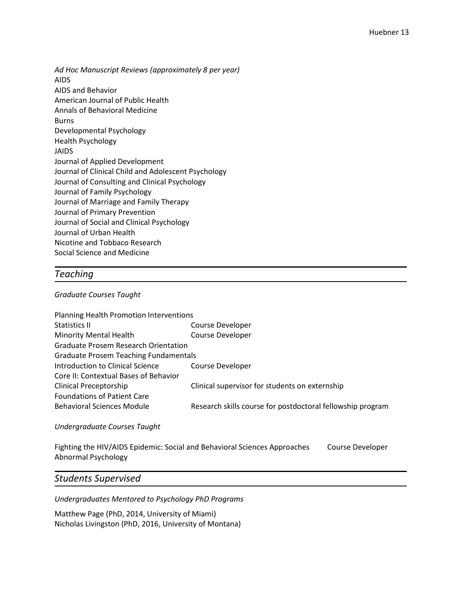*Ad Hoc Manuscript Reviews (approximately 8 per year)* AIDS AIDS and Behavior American Journal of Public Health Annals of Behavioral Medicine Burns Developmental Psychology Health Psychology JAIDS Journal of Applied Development Journal of Clinical Child and Adolescent Psychology Journal of Consulting and Clinical Psychology Journal of Family Psychology Journal of Marriage and Family Therapy Journal of Primary Prevention Journal of Social and Clinical Psychology Journal of Urban Health Nicotine and Tobbaco Research Social Science and Medicine

### *Teaching*

#### *Graduate Courses Taught*

| Planning Health Promotion Interventions      |                                                            |
|----------------------------------------------|------------------------------------------------------------|
| <b>Statistics II</b>                         | Course Developer                                           |
| <b>Minority Mental Health</b>                | <b>Course Developer</b>                                    |
| <b>Graduate Prosem Research Orientation</b>  |                                                            |
| <b>Graduate Prosem Teaching Fundamentals</b> |                                                            |
| Introduction to Clinical Science             | Course Developer                                           |
| Core II: Contextual Bases of Behavior        |                                                            |
| <b>Clinical Preceptorship</b>                | Clinical supervisor for students on externship             |
| <b>Foundations of Patient Care</b>           |                                                            |
| <b>Behavioral Sciences Module</b>            | Research skills course for postdoctoral fellowship program |

#### *Undergraduate Courses Taught*

Fighting the HIV/AIDS Epidemic: Social and Behavioral Sciences Approaches Course Developer Abnormal Psychology

## *Students Supervised*

*Undergraduates Mentored to Psychology PhD Programs*

Matthew Page (PhD, 2014, University of Miami) Nicholas Livingston (PhD, 2016, University of Montana)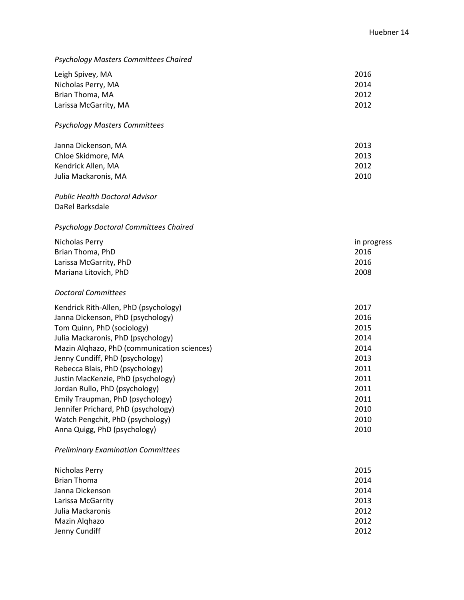## *Psychology Masters Committees Chaired*

| Leigh Spivey, MA      | 2016 |
|-----------------------|------|
| Nicholas Perry, MA    | 2014 |
| Brian Thoma, MA       | 2012 |
| Larissa McGarrity, MA | 2012 |

### *Psychology Masters Committees*

| Janna Dickenson, MA  | 2013 |
|----------------------|------|
| Chloe Skidmore, MA   | 2013 |
| Kendrick Allen, MA   | 2012 |
| Julia Mackaronis. MA | 2010 |

#### *Public Health Doctoral Advisor* DaRel Barksdale

## *Psychology Doctoral Committees Chaired*

| Nicholas Perry         | in progress |
|------------------------|-------------|
| Brian Thoma, PhD       | 2016        |
| Larissa McGarrity, PhD | 2016        |
| Mariana Litovich, PhD  | 2008        |

#### *Doctoral Committees*

| Kendrick Rith-Allen, PhD (psychology)       | 2017 |
|---------------------------------------------|------|
| Janna Dickenson, PhD (psychology)           | 2016 |
| Tom Quinn, PhD (sociology)                  | 2015 |
| Julia Mackaronis, PhD (psychology)          | 2014 |
| Mazin Alghazo, PhD (communication sciences) | 2014 |
| Jenny Cundiff, PhD (psychology)             | 2013 |
| Rebecca Blais, PhD (psychology)             | 2011 |
| Justin MacKenzie, PhD (psychology)          | 2011 |
| Jordan Rullo, PhD (psychology)              | 2011 |
| Emily Traupman, PhD (psychology)            | 2011 |
| Jennifer Prichard, PhD (psychology)         | 2010 |
| Watch Pengchit, PhD (psychology)            | 2010 |
| Anna Quigg, PhD (psychology)                | 2010 |

#### *Preliminary Examination Committees*

| Nicholas Perry     | 2015 |
|--------------------|------|
| <b>Brian Thoma</b> | 2014 |
| Janna Dickenson    | 2014 |
| Larissa McGarrity  | 2013 |
| Julia Mackaronis   | 2012 |
| Mazin Alghazo      | 2012 |
| Jenny Cundiff      | 2012 |